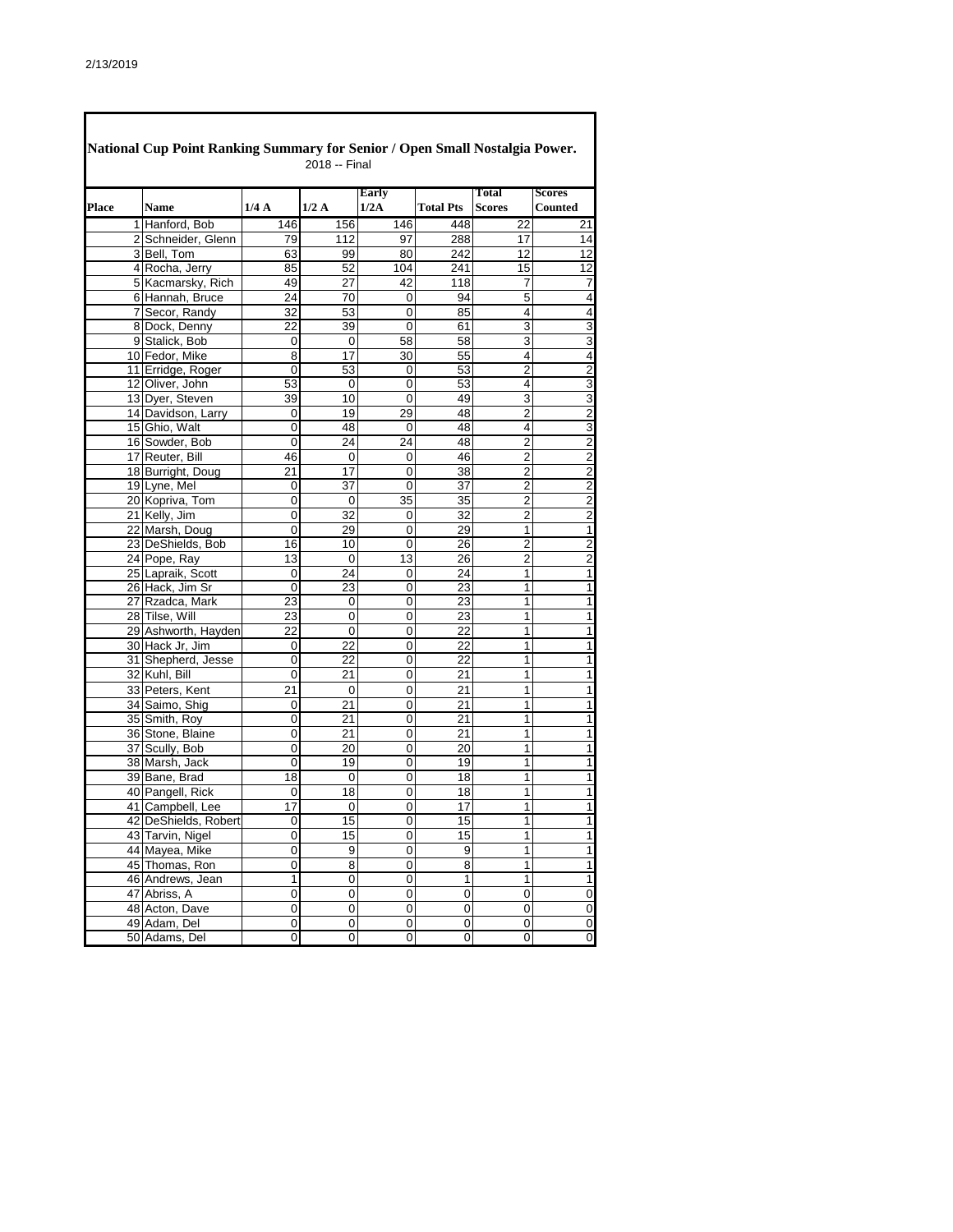|              | National Cup Point Ranking Summary for Senior / Open Small Nostalgia Power. |         | 2018 -- Final   |                      |                                    |                                  |                         |
|--------------|-----------------------------------------------------------------------------|---------|-----------------|----------------------|------------------------------------|----------------------------------|-------------------------|
|              |                                                                             |         |                 | <b>Early</b>         |                                    | Total                            | <b>Scores</b>           |
| <b>Place</b> | <b>Name</b>                                                                 | 1/4A    | 1/2A            | 1/2A                 | <b>Total Pts</b>                   | <b>Scores</b>                    | Counted                 |
|              | 1 Hanford, Bob                                                              | 146     | 156             | 146                  | 448                                | 22                               | 21                      |
|              | 2 Schneider, Glenn                                                          | 79      | 112             | 97                   | 288                                | 17                               | 14                      |
|              | 3 Bell, Tom                                                                 | 63      | 99              | 80                   | 242                                | 12                               | $\overline{12}$         |
|              | 4 Rocha, Jerry                                                              | 85      | 52              | 104                  | 241                                | 15                               | $\overline{12}$         |
|              | 5 Kacmarsky, Rich                                                           | 49      | $\overline{27}$ | 42                   | 118                                | 7                                | $\overline{7}$          |
|              | 6 Hannah, Bruce                                                             | 24      | 70              | 0                    | 94                                 | 5                                | $\overline{\mathbf{4}}$ |
|              | 7 Secor, Randy                                                              | 32      | 53              | 0                    | 85                                 | 4                                | $\overline{\mathbf{4}}$ |
|              | 8 Dock, Denny                                                               | 22      | 39              | 0                    | 61                                 | 3                                | $\overline{3}$          |
|              | 9 Stalick, Bob                                                              | 0       | $\mathbf 0$     | 58                   | 58                                 | 3                                | $\overline{3}$          |
|              | 10 Fedor, Mike                                                              | 8       | 17              | 30                   | 55                                 | 4                                | $\frac{4}{2}$           |
|              | 11 Erridge, Roger                                                           | 0       | 53              | 0                    | 53                                 | $\overline{2}$                   |                         |
|              | 12 Oliver, John                                                             | 53      | $\mathbf 0$     | 0                    | 53                                 | 4                                | $\overline{3}$          |
|              | 13 Dyer, Steven                                                             | 39      | 10              | 0                    | 49                                 | $\overline{3}$                   | $\overline{3}$          |
|              | 14 Davidson, Larry                                                          | 0       | 19              | 29                   | 48                                 | 2                                | $\overline{2}$          |
|              | 15 Ghio, Walt                                                               | 0       | 48              | 0                    | 48                                 | 4                                | $\overline{3}$          |
|              | 16 Sowder, Bob                                                              | 0       | 24              | 24                   | 48                                 | 2                                | $\frac{2}{2}$           |
|              | 17 Reuter, Bill                                                             | 46      | $\mathbf 0$     | 0                    | 46                                 | $\overline{2}$                   | $\overline{2}$          |
|              | 18 Burright, Doug<br>19 Lyne, Mel                                           | 21      | 17              | 0                    | 38                                 | $\overline{2}$<br>$\overline{2}$ |                         |
|              |                                                                             | 0       | 37              | 0<br>$\overline{35}$ | $\overline{37}$<br>$\overline{35}$ | $\overline{2}$                   | $\frac{2}{2}$           |
|              | 20 Kopriva, Tom                                                             | 0<br>0  | $\mathbf 0$     |                      | $\overline{32}$                    | $\overline{2}$                   | $\overline{\mathbf{c}}$ |
|              | 21 Kelly, Jim                                                               | 0       | 32<br>29        | 0                    | 29                                 | 1                                | $\overline{\mathbf{1}}$ |
|              | 22 Marsh, Doug<br>23 DeShields, Bob                                         | 16      | 10              | 0<br>0               | $\overline{26}$                    | $\overline{2}$                   | $\overline{c}$          |
|              | 24 Pope, Ray                                                                |         |                 | 13                   | $\overline{26}$                    | 2                                | $\overline{2}$          |
|              | 25 Lapraik, Scott                                                           | 13<br>0 | 0<br>24         | 0                    | 24                                 | 1                                | $\overline{\mathbf{1}}$ |
|              | 26 Hack, Jim Sr                                                             | 0       | 23              | 0                    | $\overline{23}$                    | 1                                | $\overline{1}$          |
|              | 27 Rzadca, Mark                                                             | 23      | 0               | 0                    | 23                                 | 1                                | $\overline{1}$          |
|              | 28 Tilse, Will                                                              | 23      | 0               | 0                    | 23                                 | 1                                | $\mathbf{1}$            |
|              | 29 Ashworth, Hayden                                                         | 22      | $\mathbf 0$     | $\mathbf 0$          | $\overline{22}$                    | 1                                | $\overline{1}$          |
|              | 30 Hack Jr, Jim                                                             | 0       | 22              | 0                    | 22                                 | 1                                | $\overline{1}$          |
|              | 31 Shepherd, Jesse                                                          | 0       | 22              | 0                    | 22                                 | 1                                | 1                       |
|              | 32 Kuhl, Bill                                                               | 0       | 21              | 0                    | 21                                 | 1                                | 1                       |
|              | 33 Peters, Kent                                                             | 21      | $\mathbf 0$     | 0                    | 21                                 | 1                                | 1                       |
|              | 34 Saimo, Shig                                                              | 0       | 21              | 0                    | 21                                 | 1                                | 1                       |
|              | 35 Smith, Roy                                                               | 0       | 21              | 0                    | 21                                 | 1                                | 1                       |
|              | 36 Stone, Blaine                                                            | 0       | 21              | 0                    | $\overline{21}$                    | 1                                | $\overline{1}$          |
|              | 37 Scully, Bob                                                              | 0       | 20              | 0                    | 20                                 | 1                                | $\overline{\mathbf{1}}$ |
|              | 38 Marsh, Jack                                                              | 0       | 19              | 0                    | 19                                 | 1                                | 1                       |
|              | 39 Bane, Brad                                                               | 18      | 0               | 0                    | $\overline{18}$                    | 1                                | $\overline{1}$          |
|              | 40 Pangell, Rick                                                            | 0       | 18              | 0                    | 18                                 | 1                                | $\mathbf{1}$            |
|              | 41 Campbell, Lee                                                            | 17      | 0               | $\Omega$             | 17                                 | 1                                | $\mathbf{1}$            |
|              | 42 DeShields, Robert                                                        | 0       | 15              | 0                    | 15                                 | 1                                | $\mathbf{1}$            |
|              | 43 Tarvin, Nigel                                                            | 0       | 15              | 0                    | 15                                 | $\mathbf{1}$                     | $\mathbf{1}$            |
|              | 44 Mayea, Mike                                                              | 0       | 9               | 0                    | 9                                  | 1                                | $\overline{1}$          |
|              | 45 Thomas, Ron                                                              | 0       | 8               | 0                    | 8                                  | 1                                | $\overline{1}$          |
|              | 46 Andrews, Jean                                                            | 1       | 0               | 0                    | 1                                  | 1                                | $\overline{1}$          |
|              | 47 Abriss, A                                                                | 0       | 0               | 0                    | 0                                  | 0                                | $\overline{0}$          |
|              | 48 Acton, Dave                                                              | 0       | 0               | 0                    | 0                                  | 0                                | $\pmb{0}$               |
|              | 49 Adam, Del                                                                | 0       | 0               | 0                    | 0                                  | 0                                | $\overline{0}$          |
|              | 50 Adams, Del                                                               | 0       | 0               | 0                    | 0                                  | 0                                | $\overline{0}$          |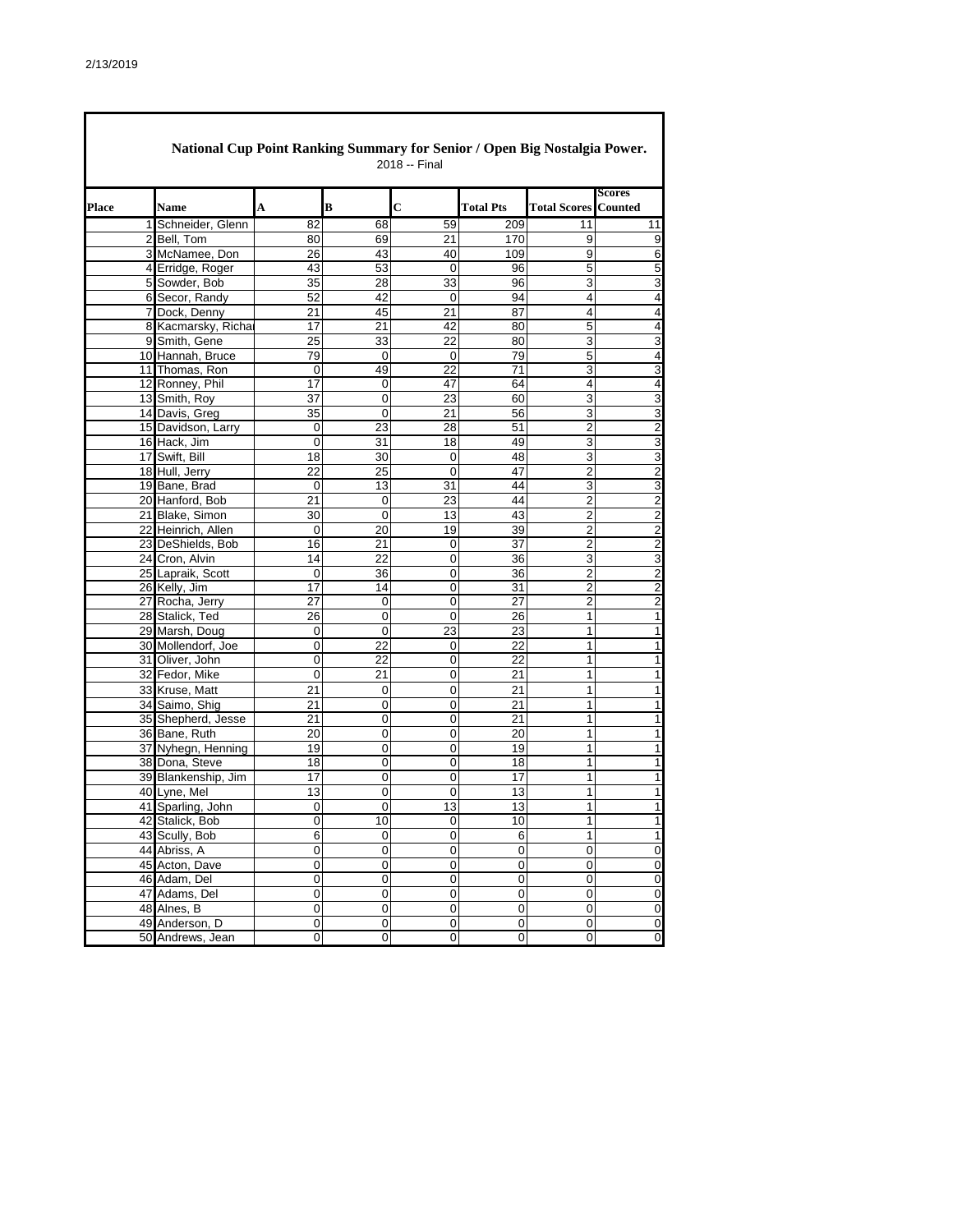$\mathsf \Gamma$ 

|              | National Cup Point Ranking Summary for Senior / Open Big Nostalgia Power.<br>2018 -- Final |                 |                |                 |                  |                     |                                 |  |  |  |  |
|--------------|--------------------------------------------------------------------------------------------|-----------------|----------------|-----------------|------------------|---------------------|---------------------------------|--|--|--|--|
| <b>Place</b> | <b>Name</b>                                                                                | A               | B              | C               | <b>Total Pts</b> | <b>Total Scores</b> | <b>Scores</b><br><b>Counted</b> |  |  |  |  |
| $\mathbf{1}$ | Schneider, Glenn                                                                           | 82              | 68             | 59              | 209              | 11                  | 11                              |  |  |  |  |
|              | 2 Bell, Tom                                                                                | 80              | 69             | 21              | 170              | 9                   | 9                               |  |  |  |  |
|              | 3 McNamee, Don                                                                             | 26              | 43             | 40              | 109              | 9                   | 6                               |  |  |  |  |
|              | 4 Erridge, Roger                                                                           | 43              | 53             | 0               | 96               | 5                   | 5                               |  |  |  |  |
|              | 5 Sowder, Bob                                                                              | 35              | 28             | 33              | 96               | 3                   | 3                               |  |  |  |  |
|              | 6 Secor, Randy                                                                             | 52              | 42             | 0               | 94               | 4                   | 4                               |  |  |  |  |
|              | 7 Dock, Denny                                                                              | 21              | 45             | 21              | 87               | 4                   | 4                               |  |  |  |  |
|              | 8 Kacmarsky, Richa                                                                         | 17              | 21             | 42              | 80               | 5                   | 4                               |  |  |  |  |
|              | 9 Smith, Gene                                                                              | $\overline{25}$ | 33             | $\overline{22}$ | 80               | 3                   | 3                               |  |  |  |  |
|              | 10 Hannah, Bruce                                                                           | 79              | $\mathbf 0$    | 0               | 79               | 5                   | 4                               |  |  |  |  |
|              | 11 Thomas, Ron                                                                             | 0               | 49             | 22              | 71               | 3                   | 3                               |  |  |  |  |
|              | 12 Ronney, Phil                                                                            | 17              | 0              | 47              | 64               | 4                   | 4                               |  |  |  |  |
|              | 13 Smith, Roy                                                                              | 37              | 0              | 23              | 60               | 3                   | $\ensuremath{\mathsf{3}}$       |  |  |  |  |
|              | 14 Davis, Greg                                                                             | 35              | 0              | 21              | 56               | 3                   | 3                               |  |  |  |  |
|              | 15 Davidson, Larry                                                                         | 0               | 23             | 28              | 51               | $\overline{2}$      | $\overline{\mathbf{c}}$         |  |  |  |  |
|              | 16 Hack, Jim                                                                               | 0               | 31             | 18              | 49               | 3                   | 3                               |  |  |  |  |
|              | 17 Swift, Bill                                                                             | 18              | 30             | 0               | 48               | 3                   | 3                               |  |  |  |  |
|              | 18 Hull, Jerry                                                                             | 22              | 25             | 0               | 47               | $\overline{2}$      | $\overline{2}$                  |  |  |  |  |
|              | 19 Bane, Brad                                                                              | 0               | 13             | 31              | 44               | 3                   | 3                               |  |  |  |  |
|              | 20 Hanford, Bob                                                                            | 21              | $\mathbf 0$    | 23              | 44               | $\overline{2}$      | $\overline{2}$                  |  |  |  |  |
|              |                                                                                            |                 | $\mathbf 0$    |                 |                  | $\overline{2}$      |                                 |  |  |  |  |
|              | 21 Blake, Simon                                                                            | 30              |                | 13              | 43               |                     | $\overline{2}$                  |  |  |  |  |
|              | 22 Heinrich, Allen                                                                         | 0               | 20             | 19              | 39               | $\overline{2}$      | $\overline{2}$                  |  |  |  |  |
|              | 23 DeShields, Bob                                                                          | 16              | 21             | 0               | 37               | 2                   | $\overline{2}$                  |  |  |  |  |
|              | 24 Cron, Alvin                                                                             | 14              | 22             | 0               | 36               | 3                   | 3                               |  |  |  |  |
|              | 25 Lapraik, Scott                                                                          | 0               | 36             | 0               | 36               | $\overline{2}$      | $\overline{2}$                  |  |  |  |  |
|              | 26 Kelly, Jim                                                                              | 17              | 14             | 0               | 31               | 2                   | $\overline{2}$                  |  |  |  |  |
|              | 27 Rocha, Jerry                                                                            | 27              | 0              | 0               | 27               | 2                   | $\overline{2}$                  |  |  |  |  |
|              | 28 Stalick, Ted                                                                            | 26              | $\mathbf 0$    | 0               | 26               | 1                   | 1                               |  |  |  |  |
|              | 29 Marsh, Doug                                                                             | 0               | $\mathbf 0$    | 23              | 23               | 1                   | 1                               |  |  |  |  |
|              | 30 Mollendorf, Joe                                                                         | 0               | 22             | 0               | 22               | 1                   | 1                               |  |  |  |  |
|              | 31 Oliver, John                                                                            | 0               | 22             | 0               | 22               | 1                   | $\mathbf{1}$                    |  |  |  |  |
|              | 32 Fedor, Mike                                                                             | 0               | 21             | 0               | 21               | 1                   | 1                               |  |  |  |  |
|              | 33 Kruse, Matt                                                                             | 21              | 0              | 0               | 21               | 1                   | $\mathbf{1}$                    |  |  |  |  |
|              | 34 Saimo, Shig                                                                             | 21              | $\mathbf 0$    | 0               | 21               | 1                   | 1                               |  |  |  |  |
|              | 35 Shepherd, Jesse                                                                         | 21              | $\mathbf 0$    | 0               | 21               | 1                   | 1                               |  |  |  |  |
|              | 36 Bane, Ruth                                                                              | 20              | 0              | 0               | 20               | 1                   | 1                               |  |  |  |  |
|              | 37 Nyhegn, Henning                                                                         | 19              | 0              | 0               | 19               | 1                   | $\mathbf{1}$                    |  |  |  |  |
|              | 38 Dona, Steve                                                                             | 18              | 0              | 0               | 18               | 1                   | 1                               |  |  |  |  |
|              | 39 Blankenship, Jim                                                                        | 17              | 0              | 0               | 17               | 1                   | 1                               |  |  |  |  |
|              | 40 Lyne, Mel                                                                               | 13              | 0              | 0               | 13               | 1                   | $\mathbf 1$                     |  |  |  |  |
|              | 41 Sparling, John                                                                          | 0               | 0              | 13              | 13               | 1                   | 1                               |  |  |  |  |
|              | 42 Stalick, Bob                                                                            | 0               | 10             | 0               | 10               | 1                   | 1                               |  |  |  |  |
|              | 43 Scully, Bob                                                                             | 6               | 0              | $\pmb{0}$       | 6                | 1                   | $\mathbf{1}$                    |  |  |  |  |
|              | 44 Abriss, A                                                                               | 0               | $\mathbf 0$    | 0               | 0                | 0                   | $\mathbf 0$                     |  |  |  |  |
|              | 45 Acton, Dave                                                                             | 0               | $\pmb{0}$      | 0               | 0                | $\pmb{0}$           | 0                               |  |  |  |  |
|              | 46 Adam, Del                                                                               | 0               | $\mathbf 0$    | 0               | 0                | $\pmb{0}$           | $\overline{0}$                  |  |  |  |  |
|              | 47 Adams, Del                                                                              | 0               | 0              | $\pmb{0}$       | 0                | $\pmb{0}$           | $\pmb{0}$                       |  |  |  |  |
|              | 48 Alnes, B                                                                                | $\overline{0}$  | $\mathbf 0$    | 0               | $\mathbf 0$      | $\mathbf 0$         | $\mathbf 0$                     |  |  |  |  |
|              | 49 Anderson, D                                                                             | 0               | 0              | 0               | 0                | 0                   | $\pmb{0}$                       |  |  |  |  |
|              | 50 Andrews, Jean                                                                           | $\overline{0}$  | $\overline{0}$ | 0               | 0                | $\pmb{0}$           | $\overline{0}$                  |  |  |  |  |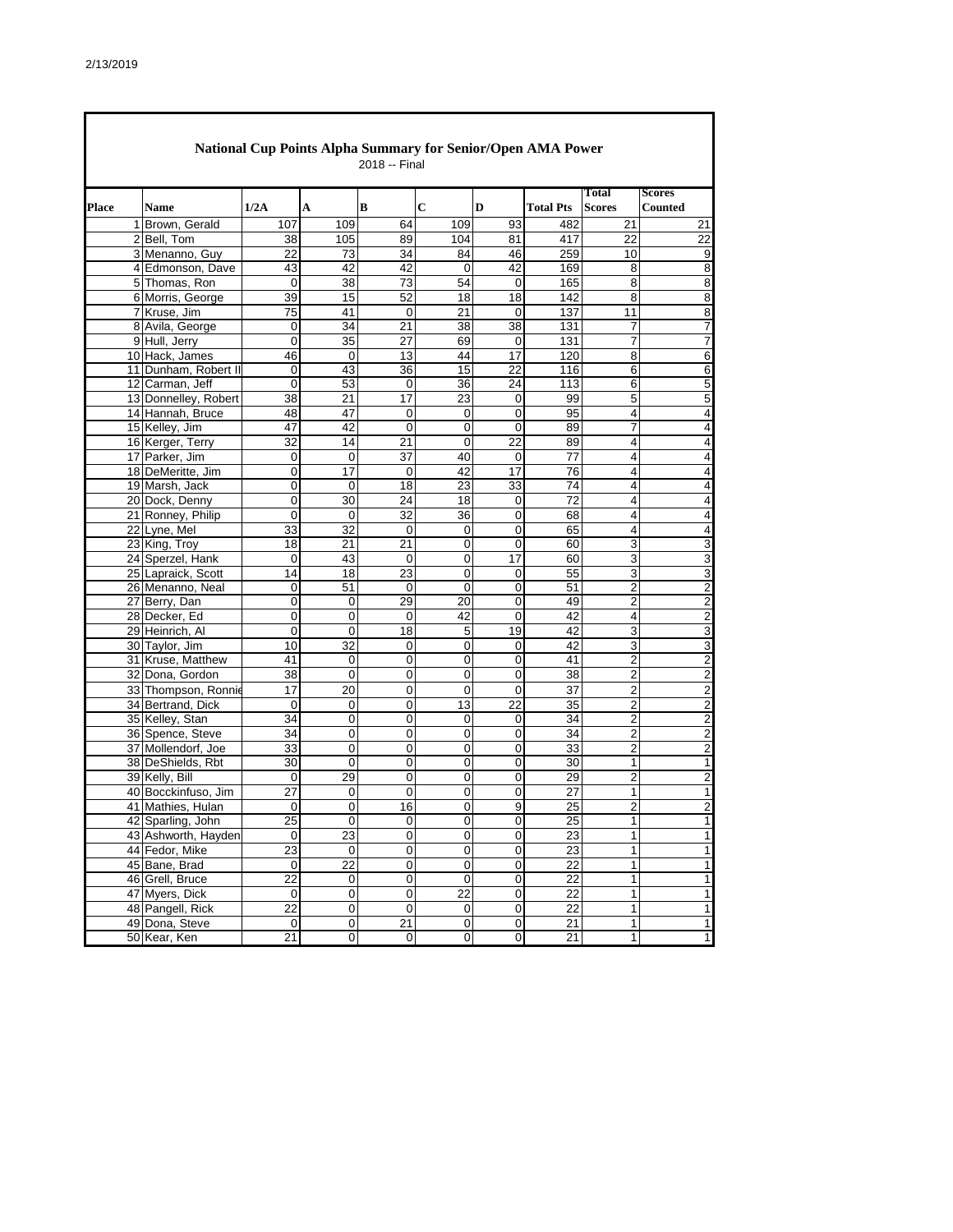$\blacksquare$ 

|              | National Cup Points Alpha Summary for Senior/Open AMA Power<br>2018 -- Final |                      |                 |             |                |                 |             |                  |                        |                                 |  |  |
|--------------|------------------------------------------------------------------------------|----------------------|-----------------|-------------|----------------|-----------------|-------------|------------------|------------------------|---------------------------------|--|--|
| <b>Place</b> |                                                                              | <b>Name</b>          | 1/2A            | A           | B              | C               | D           | <b>Total Pts</b> | Total<br><b>Scores</b> | <b>Scores</b><br><b>Counted</b> |  |  |
|              |                                                                              | 1 Brown, Gerald      | 107             | 109         | 64             | 109             | 93          | 482              | 21                     | 21                              |  |  |
|              |                                                                              | 2 Bell, Tom          | 38              | 105         | 89             | 104             | 81          | 417              | 22                     | 22                              |  |  |
|              |                                                                              | 3 Menanno, Guy       | 22              | 73          | 34             | 84              | 46          | 259              | 10                     | 9                               |  |  |
|              |                                                                              | 4 Edmonson, Dave     | 43              | 42          | 42             | 0               | 42          | 169              | 8                      | 8                               |  |  |
|              |                                                                              | 5 Thomas, Ron        | $\mathbf 0$     | 38          | 73             | 54              | 0           | 165              | 8                      | 8                               |  |  |
|              |                                                                              | 6 Morris, George     | 39              | 15          | 52             | 18              | 18          | 142              | 8                      | 8                               |  |  |
|              |                                                                              | 7 Kruse, Jim         | 75              | 41          | 0              | 21              | 0           | 137              | 11                     | 8                               |  |  |
|              |                                                                              | 8 Avila, George      | 0               | 34          | 21             | 38              | 38          | 131              | 7                      | 7                               |  |  |
|              |                                                                              | 9 Hull, Jerry        | $\overline{0}$  | 35          | 27             | 69              | 0           | 131              | 7                      | 7                               |  |  |
|              |                                                                              | 10 Hack, James       | 46              | 0           | 13             | 44              | 17          | 120              | 8                      | 6                               |  |  |
|              |                                                                              | 11 Dunham, Robert II | 0               | 43          | 36             | 15              | 22          | 116              | 6                      | 6                               |  |  |
|              |                                                                              | 12 Carman, Jeff      | 0               | 53          | 0              | 36              | 24          | 113              | 6                      | 5                               |  |  |
|              |                                                                              | 13 Donnelley, Robert | 38              | 21          | 17             | 23              | 0           | 99               | 5                      | 5                               |  |  |
|              |                                                                              | 14 Hannah, Bruce     | 48              | 47          | 0              | 0               | 0           | 95               | 4                      | 4                               |  |  |
|              |                                                                              | 15 Kelley, Jim       | 47              | 42          | $\mathbf 0$    | 0               | $\mathbf 0$ | 89               | 7                      | 4                               |  |  |
|              |                                                                              | 16 Kerger, Terry     | 32              | 14          | 21             | 0               | 22          | 89               | 4                      | 4                               |  |  |
|              |                                                                              | 17 Parker, Jim       | 0               | $\mathbf 0$ | 37             | 40              | $\mathbf 0$ | 77               | 4                      | $\overline{4}$                  |  |  |
|              |                                                                              | 18 DeMeritte, Jim    | 0               | 17          | $\mathbf 0$    | 42              | 17          | 76               | 4                      | 4                               |  |  |
|              |                                                                              | 19 Marsh, Jack       | 0               | 0           | 18             | $\overline{23}$ | 33          | 74               | 4                      | 4                               |  |  |
|              |                                                                              | 20 Dock, Denny       | 0               | 30          | 24             | 18              | 0           | 72               | 4                      | 4                               |  |  |
|              |                                                                              | 21 Ronney, Philip    | 0               | 0           | 32             | 36              | 0           | 68               | 4                      | 4                               |  |  |
|              |                                                                              | 22 Lyne, Mel         | 33              | 32          | $\mathbf 0$    | 0               | 0           | 65               | 4                      | 4                               |  |  |
|              |                                                                              | 23 King, Troy        | 18              | 21          | 21             | 0               | 0           | 60               | 3                      | 3                               |  |  |
|              |                                                                              | 24 Sperzel, Hank     | 0               | 43          | $\mathbf 0$    | 0               | 17          | 60               | 3                      | 3                               |  |  |
|              |                                                                              | 25 Lapraick, Scott   | 14              | 18          | 23             | 0               | 0           | 55               | 3                      | 3                               |  |  |
|              |                                                                              | 26 Menanno, Neal     | 0               | 51          | 0              | 0               | $\mathbf 0$ | 51               | 2                      | $\overline{2}$                  |  |  |
|              |                                                                              | 27 Berry, Dan        | $\mathbf 0$     | $\mathbf 0$ | 29             | 20              | $\mathbf 0$ | 49               | $\overline{2}$         | $\overline{c}$                  |  |  |
|              |                                                                              | 28 Decker, Ed        | 0               | 0           | 0              | 42              | 0           | 42               | 4                      | $\overline{c}$                  |  |  |
|              |                                                                              | 29 Heinrich, Al      | 0               | $\mathbf 0$ | 18             | 5               | 19          | 42               | 3                      | 3                               |  |  |
|              |                                                                              | 30 Taylor, Jim       | 10              | 32          | 0              | 0               | 0           | 42               | 3                      | 3                               |  |  |
|              |                                                                              | 31 Kruse, Matthew    | 41              | $\mathbf 0$ | $\mathbf 0$    | 0               | $\mathbf 0$ | 41               | $\overline{2}$         | $\overline{\mathbf{c}}$         |  |  |
|              |                                                                              | 32 Dona, Gordon      | 38              | 0           | 0              | 0               | 0           | 38               | 2                      | $\overline{\mathbf{c}}$         |  |  |
|              |                                                                              | 33 Thompson, Ronnie  | 17              | 20          | $\overline{0}$ | 0               | $\Omega$    | 37               | $\overline{2}$         | $\overline{2}$                  |  |  |
|              |                                                                              | 34 Bertrand, Dick    | 0               | $\mathbf 0$ | $\mathbf 0$    | 13              | 22          | 35               | 2                      | $\overline{c}$                  |  |  |
|              |                                                                              | 35 Kelley, Stan      | 34              | 0           | $\mathbf 0$    | 0               | 0           | 34               | $\overline{c}$         | $\overline{c}$                  |  |  |
|              |                                                                              | 36 Spence, Steve     | 34              | 0           | 0              | 0               | 0           | 34               | 2                      | 2                               |  |  |
|              |                                                                              | 37 Mollendorf, Joe   | 33              | $\mathbf 0$ | 0              | 0               | 0           | 33               | $\overline{2}$         | $\overline{2}$                  |  |  |
|              |                                                                              | 38 DeShields, Rbt    | 30              | $\mathbf 0$ | 0              | 0               | 0           | 30               | 1                      | $\mathbf{1}$                    |  |  |
|              |                                                                              | 39 Kelly, Bill       | 0               | 29          | 0              | 0               | 0           | 29               | 2                      | $\overline{c}$                  |  |  |
|              |                                                                              | 40 Bocckinfuso, Jim  | 27              | $\mathbf 0$ | 0              | 0               | $\mathbf 0$ | 27               | $\mathbf{1}$           | 1                               |  |  |
|              |                                                                              | 41 Mathies, Hulan    | 0               | 0           | 16             | 0               | 9           | 25               | 2                      | $\overline{c}$                  |  |  |
|              |                                                                              | 42 Sparling, John    | $\overline{25}$ | 0           | 0              |                 |             | $\overline{25}$  | $\mathbf{1}$           |                                 |  |  |
|              |                                                                              | 43 Ashworth, Hayden  | 0               | 23          | $\mathbf 0$    | $\mathsf 0$     | $\mathbf 0$ | 23               | $\mathbf{1}$           | 1                               |  |  |
|              |                                                                              | 44 Fedor, Mike       | 23              | 0           | 0              | 0               | 0           | 23               | 1                      | 1                               |  |  |
|              |                                                                              | 45 Bane, Brad        | 0               | 22          | 0              | 0               | $\mathbf 0$ | 22               | 1                      | 1                               |  |  |
|              |                                                                              | 46 Grell, Bruce      | 22              | $\pmb{0}$   | 0              | 0               | $\pmb{0}$   | 22               | 1                      | 1                               |  |  |
|              |                                                                              | 47 Myers, Dick       | 0               | $\pmb{0}$   | 0              | 22              | $\mathbf 0$ | 22               | $\mathbf{1}$           | 1                               |  |  |
|              |                                                                              | 48 Pangell, Rick     | 22              | $\pmb{0}$   | 0              | 0               | $\pmb{0}$   | 22               | 1                      | 1                               |  |  |
|              |                                                                              | 49 Dona, Steve       | 0               | $\pmb{0}$   | 21             | 0               | 0           | 21               | $\mathbf{1}$           | 1                               |  |  |
|              |                                                                              | 50 Kear, Ken         | 21              | $\pmb{0}$   | 0              | 0               | $\pmb{0}$   | 21               | $\mathbf{1}$           | 1                               |  |  |
|              |                                                                              |                      |                 |             |                |                 |             |                  |                        |                                 |  |  |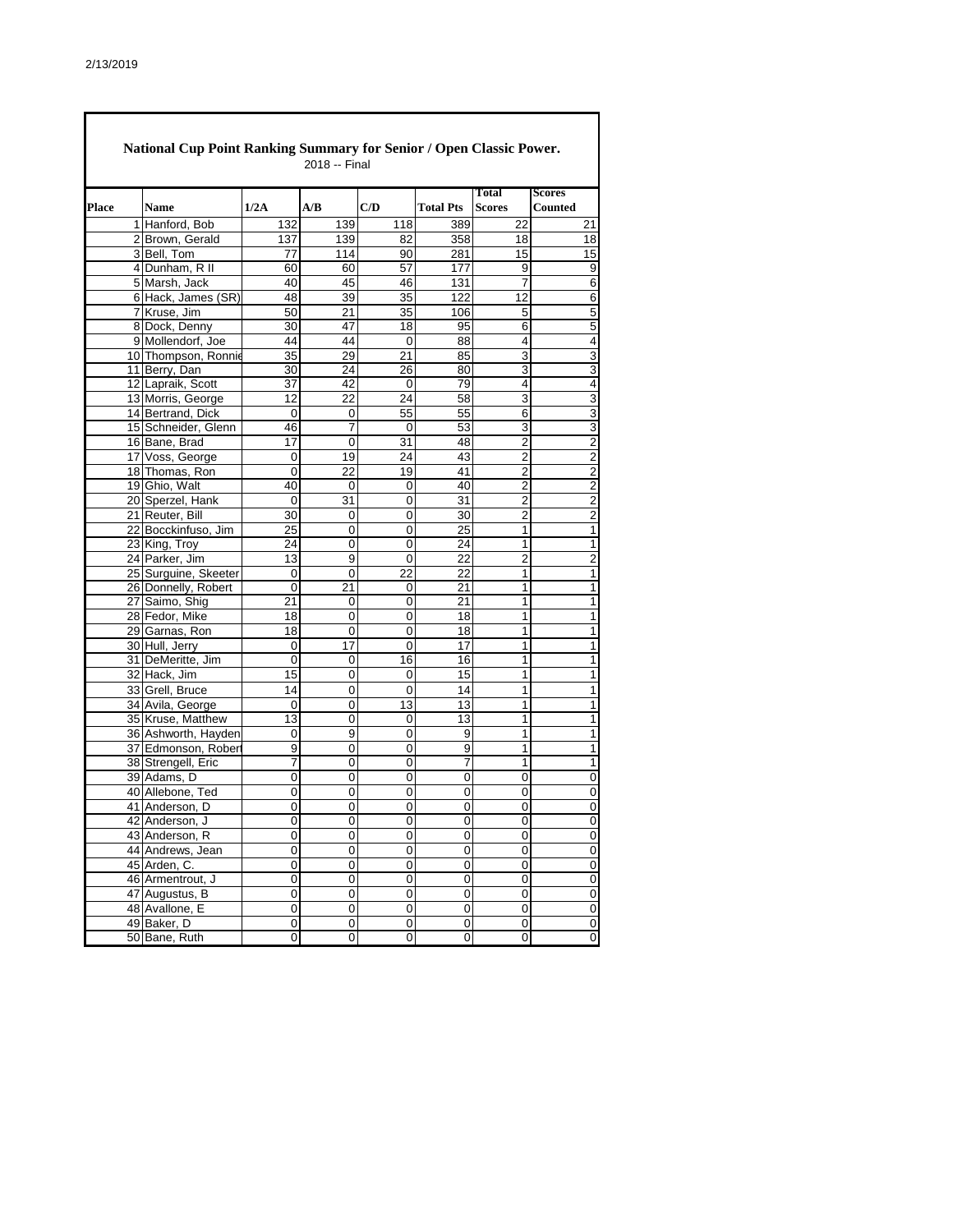|       | National Cup Point Ranking Summary for Senior / Open Classic Power.<br>2018 -- Final |                      |                |           |                |                  |                               |                                 |  |  |  |  |
|-------|--------------------------------------------------------------------------------------|----------------------|----------------|-----------|----------------|------------------|-------------------------------|---------------------------------|--|--|--|--|
| Place |                                                                                      | <b>Name</b>          | 1/2A           | A/B       | C/D            | <b>Total Pts</b> | <b>Total</b><br><b>Scores</b> | <b>Scores</b><br><b>Counted</b> |  |  |  |  |
|       |                                                                                      | 1 Hanford, Bob       | 132            | 139       | 118            | 389              | 22                            | 21                              |  |  |  |  |
|       |                                                                                      | 2 Brown, Gerald      | 137            | 139       | 82             | 358              | 18                            | 18                              |  |  |  |  |
|       |                                                                                      | 3Bell, Tom           | 77             | 114       | 90             | 281              | 15                            | 15                              |  |  |  |  |
|       |                                                                                      | 4 Dunham, R II       | 60             | 60        | 57             | 177              | 9                             | 9                               |  |  |  |  |
|       |                                                                                      | 5 Marsh, Jack        | 40             | 45        | 46             | 131              | 7                             | 6                               |  |  |  |  |
|       |                                                                                      | 6 Hack, James (SR)   | 48             | 39        | 35             | 122              | 12                            | 6                               |  |  |  |  |
|       |                                                                                      | 7 Kruse, Jim         | 50             | 21        | 35             | 106              | 5                             | $\overline{5}$                  |  |  |  |  |
|       |                                                                                      | 8 Dock, Denny        | 30             | 47        | 18             | 95               | 6                             | 5                               |  |  |  |  |
|       |                                                                                      | 9 Mollendorf, Joe    | 44             | 44        | $\mathbf 0$    | 88               | $\overline{4}$                | 4                               |  |  |  |  |
|       |                                                                                      | 10 Thompson, Ronnie  | 35             | 29        | 21             | 85               | 3                             | 3                               |  |  |  |  |
|       |                                                                                      | 11 Berry, Dan        | 30             | 24        | 26             | 80               | 3                             | 3                               |  |  |  |  |
|       |                                                                                      | 12 Lapraik, Scott    | 37             | 42        | 0              | 79               | 4                             | 4                               |  |  |  |  |
|       |                                                                                      | 13 Morris, George    | 12             | 22        | 24             | 58               | 3                             | 3                               |  |  |  |  |
|       |                                                                                      | 14 Bertrand, Dick    | 0              | 0         | 55             | 55               | 6                             | 3                               |  |  |  |  |
|       |                                                                                      | 15 Schneider, Glenn  | 46             | 7         | 0              | 53               | 3                             | 3                               |  |  |  |  |
|       |                                                                                      | 16 Bane, Brad        | 17             | 0         | 31             | 48               | $\overline{2}$                | $\overline{c}$                  |  |  |  |  |
|       |                                                                                      | 17 Voss, George      | 0              | 19        | 24             | 43               | 2                             | $\boldsymbol{2}$                |  |  |  |  |
|       |                                                                                      | 18 Thomas, Ron       | 0              | 22        | 19             | 41               | $\overline{2}$                | 2                               |  |  |  |  |
|       |                                                                                      | 19 Ghio. Walt        | 40             | 0         | 0              | 40               | $\overline{2}$                | $\overline{2}$                  |  |  |  |  |
|       |                                                                                      | 20 Sperzel, Hank     | $\Omega$       | 31        | 0              | 31               | $\overline{2}$                | $\overline{2}$                  |  |  |  |  |
|       |                                                                                      | 21 Reuter, Bill      | 30             | 0         | 0              | 30               | $\overline{2}$                | $\overline{2}$                  |  |  |  |  |
|       |                                                                                      | 22 Bocckinfuso, Jim  | 25             | 0         | 0              | 25               | 1                             | 1                               |  |  |  |  |
|       |                                                                                      | 23 King, Troy        | 24             | 0         | 0              | 24               | 1                             | $\overline{1}$                  |  |  |  |  |
|       |                                                                                      | 24 Parker, Jim       | 13             | 9         | 0              | 22               | 2                             | $\overline{2}$                  |  |  |  |  |
|       |                                                                                      | 25 Surguine, Skeeter | 0              | 0         | 22             | $\overline{22}$  | 1                             | $\overline{1}$                  |  |  |  |  |
|       |                                                                                      | 26 Donnelly, Robert  | 0              | 21        | 0              | 21               | 1                             | 1                               |  |  |  |  |
|       |                                                                                      | 27 Saimo, Shig       | 21             | 0         | 0              | 21               | 1                             | $\mathbf{1}$                    |  |  |  |  |
|       |                                                                                      | 28 Fedor, Mike       | 18             | 0         | 0              | 18               | 1                             | 1                               |  |  |  |  |
|       |                                                                                      | 29 Garnas, Ron       | 18             | 0         | 0              | 18               | 1                             | $\mathbf{1}$                    |  |  |  |  |
|       |                                                                                      | 30 Hull, Jerry       | 0              | 17        | 0              | 17               | 1                             | 1                               |  |  |  |  |
|       |                                                                                      | 31 DeMeritte, Jim    | 0              | 0         | 16             | 16               | 1                             | 1                               |  |  |  |  |
|       |                                                                                      | 32 Hack, Jim         | 15             | 0         | 0              | 15               | 1                             | 1                               |  |  |  |  |
|       |                                                                                      | 33 Grell, Bruce      | 14             | 0         | $\overline{0}$ | 14               | 1                             | $\mathbf{1}$                    |  |  |  |  |
|       |                                                                                      | 34 Avila, George     | 0              | 0         | 13             | 13               | 1                             | 1                               |  |  |  |  |
|       |                                                                                      | 35 Kruse, Matthew    | 13             | 0         | 0              | 13               | 1                             | 1                               |  |  |  |  |
|       |                                                                                      | 36 Ashworth, Hayden  | 0              | 9         | 0              | 9                | 1                             | 1                               |  |  |  |  |
|       |                                                                                      | 37 Edmonson, Robert  | $\overline{9}$ | 0         | 0              | $\overline{9}$   | 1                             | 1                               |  |  |  |  |
|       |                                                                                      | 38 Strengell, Eric   | 7              | 0         | 0              | 7                | 1                             | 1                               |  |  |  |  |
|       |                                                                                      | 39 Adams, D          | 0              | 0         | 0              | 0                | 0                             | $\pmb{0}$                       |  |  |  |  |
|       |                                                                                      | 40 Allebone, Ted     | 0              | 0         | 0              | 0                | 0                             | $\pmb{0}$                       |  |  |  |  |
|       |                                                                                      | 41 Anderson, D       | 0              | 0         | 0              | 0                | 0                             | 0                               |  |  |  |  |
|       |                                                                                      | 42 Anderson, J       | 0              | 0         | 0              | 0                | 0                             | $\pmb{0}$                       |  |  |  |  |
|       |                                                                                      | 43 Anderson, R       | 0              | 0         | $\overline{0}$ | 0                | 0                             | $\pmb{0}$                       |  |  |  |  |
|       |                                                                                      | 44 Andrews, Jean     | 0              | 0         | 0              | $\pmb{0}$        | 0                             | $\pmb{0}$                       |  |  |  |  |
|       |                                                                                      | 45 Arden, C.         | 0              | 0         | 0              | $\pmb{0}$        | 0                             | 0                               |  |  |  |  |
|       |                                                                                      | 46 Armentrout, J     | 0              | 0         | 0              | $\mathbf 0$      | $\pmb{0}$                     | $\pmb{0}$                       |  |  |  |  |
|       |                                                                                      | 47 Augustus, B       | 0              | 0         | 0              | 0                | 0                             | 0                               |  |  |  |  |
|       |                                                                                      | 48 Avallone, E       | 0              | $\pmb{0}$ | 0              | $\mathbf 0$      | 0                             | $\overline{0}$                  |  |  |  |  |
|       |                                                                                      | 49 Baker, D          | 0              | 0         | 0              | 0                | 0                             | 0                               |  |  |  |  |
|       |                                                                                      | 50 Bane, Ruth        | 0              | 0         | 0              | 0                | 0                             | $\overline{0}$                  |  |  |  |  |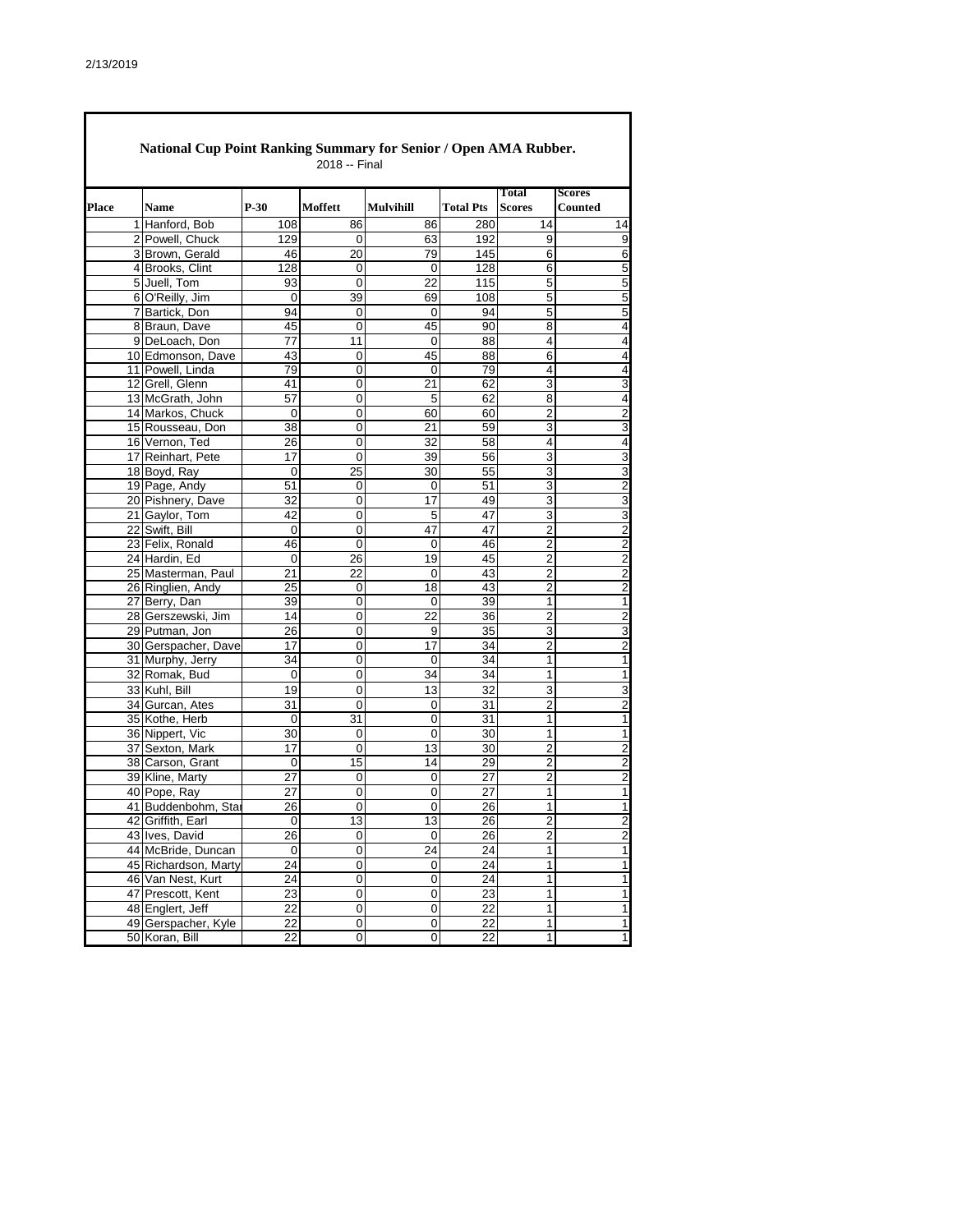|       | <b>National Cup Point Ranking Summary for Senior / Open AMA Rubber.</b><br>2018 -- Final |                      |                 |                 |                  |                  |                         |                                 |  |  |  |  |
|-------|------------------------------------------------------------------------------------------|----------------------|-----------------|-----------------|------------------|------------------|-------------------------|---------------------------------|--|--|--|--|
| Place |                                                                                          | <b>Name</b>          | $P-30$          | Moffett         | <b>Mulvihill</b> | <b>Total Pts</b> | Total<br><b>Scores</b>  | <b>Scores</b><br><b>Counted</b> |  |  |  |  |
|       |                                                                                          | 1 Hanford, Bob       | 108             | 86              | 86               | 280              | 14                      | 14                              |  |  |  |  |
|       |                                                                                          | 2 Powell, Chuck      | 129             | 0               | 63               | 192              | 9                       | 9                               |  |  |  |  |
|       |                                                                                          | 3 Brown, Gerald      | 46              | $\overline{20}$ | 79               | 145              | 6                       | 6                               |  |  |  |  |
|       |                                                                                          | 4 Brooks, Clint      | 128             | 0               | 0                | 128              | 6                       | 5                               |  |  |  |  |
|       |                                                                                          | 5 Juell, Tom         | 93              | 0               | 22               | 115              | 5                       | 5                               |  |  |  |  |
|       |                                                                                          | 6 O'Reilly, Jim      | 0               | 39              | 69               | 108              | 5                       | 5                               |  |  |  |  |
|       |                                                                                          | 7 Bartick, Don       | 94              | 0               | 0                | 94               | $\overline{5}$          | 5                               |  |  |  |  |
|       |                                                                                          | 8 Braun, Dave        | 45              | 0               | 45               | 90               | 8                       | 4                               |  |  |  |  |
|       |                                                                                          | 9 DeLoach, Don       | 77              | 11              | $\Omega$         | 88               | 4                       | 4                               |  |  |  |  |
|       |                                                                                          | 10 Edmonson, Dave    | 43              | 0               | 45               | 88               | 6                       | $\overline{4}$                  |  |  |  |  |
|       |                                                                                          | 11 Powell, Linda     | 79              | 0               | 0                | 79               | 4                       | $\overline{4}$                  |  |  |  |  |
|       |                                                                                          | 12 Grell, Glenn      | 41              | 0               | 21               | 62               | 3                       | 3                               |  |  |  |  |
|       |                                                                                          | 13 McGrath, John     | 57              | 0               | 5                | 62               | 8                       | 4                               |  |  |  |  |
|       |                                                                                          | 14 Markos, Chuck     | 0               | 0               | 60               | 60               | 2                       | 2                               |  |  |  |  |
|       |                                                                                          | 15 Rousseau, Don     | 38              | 0               | 21               | 59               | 3                       | 3                               |  |  |  |  |
|       |                                                                                          | 16 Vernon, Ted       | 26              | 0               | 32               | 58               | 4                       | 4                               |  |  |  |  |
|       |                                                                                          | 17 Reinhart, Pete    | 17              | 0               | 39               | 56               | 3                       | 3                               |  |  |  |  |
|       |                                                                                          | 18 Boyd, Ray         | 0               | 25              | 30               | 55               | 3                       | 3                               |  |  |  |  |
|       |                                                                                          | 19 Page, Andy        | 51              | 0               | $\mathbf 0$      | 51               | 3                       | $\overline{2}$                  |  |  |  |  |
|       |                                                                                          | 20 Pishnery, Dave    | 32              | 0               | 17               | 49               | 3                       | 3                               |  |  |  |  |
|       |                                                                                          | 21 Gaylor, Tom       | 42              | 0               | 5                | 47               | 3                       | 3                               |  |  |  |  |
|       |                                                                                          | 22 Swift, Bill       | 0               | 0               | 47               | 47               | 2                       | 2                               |  |  |  |  |
|       |                                                                                          | 23 Felix, Ronald     | 46              | 0               | 0                | 46               | $\overline{2}$          | $\overline{2}$                  |  |  |  |  |
|       |                                                                                          | 24 Hardin, Ed        | 0               | 26              | 19               | 45               | 2                       | 2                               |  |  |  |  |
|       |                                                                                          | 25 Masterman, Paul   | 21              | 22              | 0                | 43               | $\overline{2}$          | $\overline{2}$                  |  |  |  |  |
|       |                                                                                          | 26 Ringlien, Andy    | 25              | 0               | 18               | 43               | 2                       | $\overline{\mathbf{c}}$         |  |  |  |  |
|       |                                                                                          | 27 Berry, Dan        | 39              | 0               | 0                | 39               | $\mathbf{1}$            | 1                               |  |  |  |  |
|       |                                                                                          | 28 Gerszewski, Jim   | 14              | 0               | 22               | 36               | $\overline{\mathbf{c}}$ | $\overline{\mathbf{c}}$         |  |  |  |  |
|       |                                                                                          | 29 Putman, Jon       | 26              | 0               | 9                | 35               | 3                       | 3                               |  |  |  |  |
|       |                                                                                          | 30 Gerspacher, Dave  | 17              | 0               | 17               | 34               | 2                       | $\overline{c}$                  |  |  |  |  |
|       |                                                                                          | 31 Murphy, Jerry     | 34              | 0               | 0                | 34               | 1                       | 1                               |  |  |  |  |
|       |                                                                                          | 32 Romak, Bud        | 0               | 0               | 34               | 34               | 1                       | 1                               |  |  |  |  |
|       |                                                                                          | 33 Kuhl, Bill        | 19              | 0               | 13               | 32               | 3                       | 3                               |  |  |  |  |
|       |                                                                                          | 34 Gurcan, Ates      | 31              | 0               | 0                | 31               | $\overline{2}$          | 2                               |  |  |  |  |
|       |                                                                                          | 35 Kothe, Herb       | 0               | 31              | 0                | 31               | 1                       | 1                               |  |  |  |  |
|       |                                                                                          | 36 Nippert, Vic      | 30              | 0               | 0                | 30               | 1                       | 1                               |  |  |  |  |
|       |                                                                                          | 37 Sexton, Mark      | $\overline{17}$ | 0               | 13               | 30               | $\overline{2}$          | $\overline{c}$                  |  |  |  |  |
|       |                                                                                          | 38 Carson, Grant     | 0               | 15              | 14               | 29               | 2                       | 2                               |  |  |  |  |
|       |                                                                                          | 39 Kline, Marty      | 27              | 0               | 0                | 27               | $\overline{2}$          | $\overline{2}$                  |  |  |  |  |
|       |                                                                                          | 40 Pope, Ray         | 27              | 0               | 0                | 27               | $\mathbf{1}$            | 1                               |  |  |  |  |
|       |                                                                                          | 41 Buddenbohm, Star  | 26              | $\overline{0}$  | 0                | 26               | 1                       | $\mathbf{1}$                    |  |  |  |  |
|       |                                                                                          | 42 Griffith, Earl    | 0               | 13              | 13               | 26               | 2                       | $\overline{c}$                  |  |  |  |  |
|       |                                                                                          | 43 Ives, David       | 26              | 0               | 0                | 26               | $\boldsymbol{2}$        | $\overline{2}$                  |  |  |  |  |
|       |                                                                                          | 44 McBride, Duncan   | 0               | $\pmb{0}$       | 24               | 24               | $\mathbf{1}$            | 1                               |  |  |  |  |
|       |                                                                                          | 45 Richardson, Marty | 24              | 0               | 0                | 24               | $\mathbf{1}$            | 1                               |  |  |  |  |
|       |                                                                                          | 46 Van Nest, Kurt    | 24              | 0               | 0                | 24               | $\mathbf{1}$            | 1                               |  |  |  |  |
|       |                                                                                          | 47 Prescott, Kent    | 23              | $\pmb{0}$       | $\pmb{0}$        | 23               | $\mathbf{1}$            | 1                               |  |  |  |  |
|       |                                                                                          | 48 Englert, Jeff     | 22              | 0               | $\mathbf 0$      | 22               | $\overline{1}$          | 1                               |  |  |  |  |
|       |                                                                                          | 49 Gerspacher, Kyle  | 22              | 0               | 0                | 22               | $\mathbf{1}$            | 1                               |  |  |  |  |
|       |                                                                                          | 50 Koran, Bill       | $\overline{22}$ | o               | $\overline{0}$   | $\overline{22}$  | $\overline{1}$          | 1                               |  |  |  |  |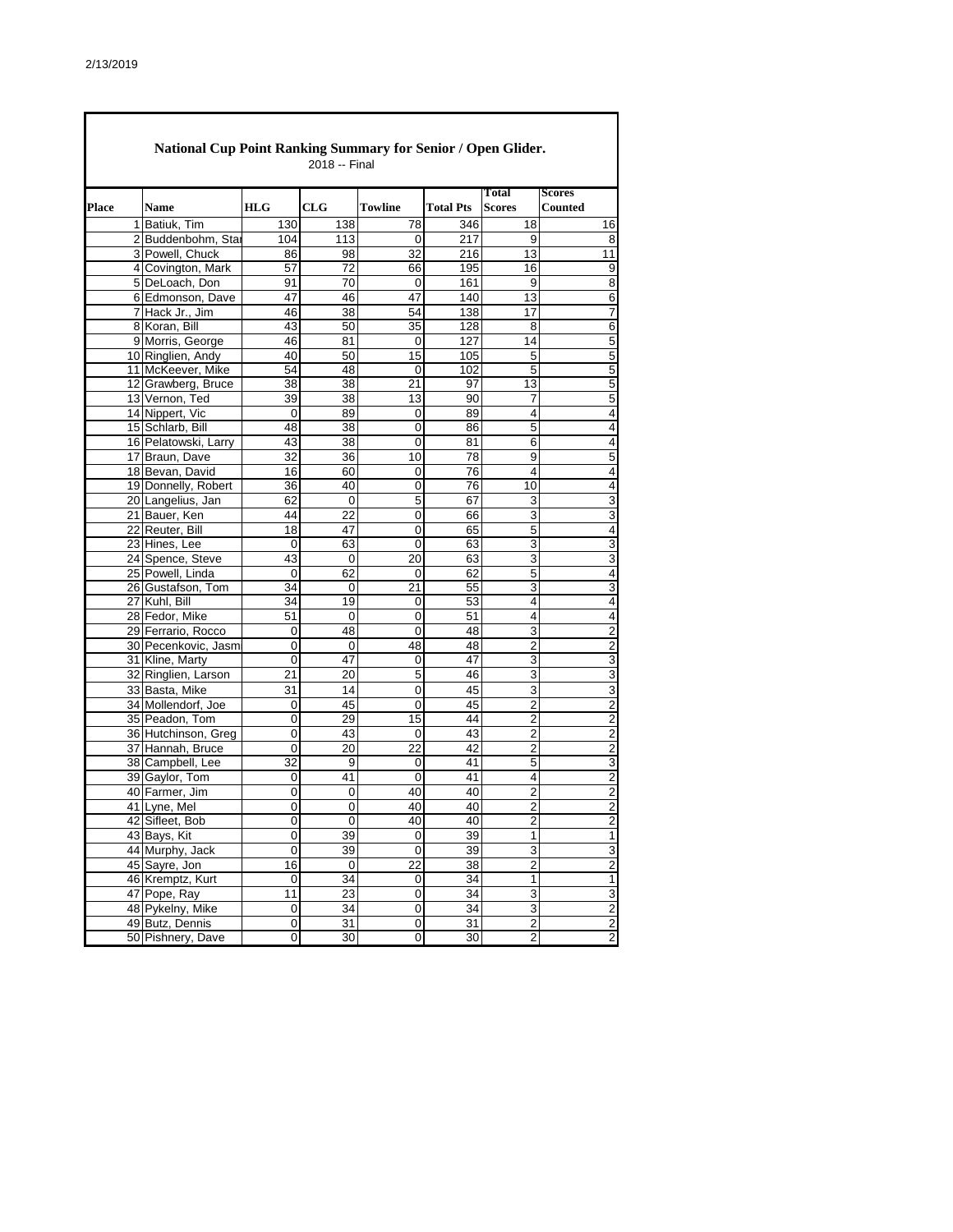$\blacksquare$ 

| <b>National Cup Point Ranking Summary for Senior / Open Glider.</b><br>2018 -- Final |                      |                     |                 |                 |                  |                         |                          |  |  |  |  |
|--------------------------------------------------------------------------------------|----------------------|---------------------|-----------------|-----------------|------------------|-------------------------|--------------------------|--|--|--|--|
| <b>Place</b>                                                                         | Name                 | HLG                 | CLG             | Towline         | <b>Total Pts</b> | Total<br><b>Scores</b>  | <b>Scores</b><br>Counted |  |  |  |  |
|                                                                                      | 1 Batiuk, Tim        | 130                 | 138             | 78              | 346              | 18                      | 16                       |  |  |  |  |
|                                                                                      | 2 Buddenbohm, Star   | 104                 | 113             | 0               | 217              | 9                       | 8                        |  |  |  |  |
|                                                                                      | 3 Powell, Chuck      | 86                  | 98              | 32              | 216              | 13                      | 11                       |  |  |  |  |
|                                                                                      | 4 Covington, Mark    | 57                  | 72              | 66              | 195              | 16                      | 9                        |  |  |  |  |
|                                                                                      | 5 DeLoach, Don       | 91                  | 70              | 0               | 161              | 9                       | 8                        |  |  |  |  |
|                                                                                      | 6 Edmonson, Dave     | 47                  | 46              | 47              | 140              | 13                      | 6                        |  |  |  |  |
|                                                                                      | 7 Hack Jr., Jim      | 46                  | 38              | 54              | 138              | 17                      | 7                        |  |  |  |  |
|                                                                                      | 8 Koran, Bill        | 43                  | 50              | 35              | 128              | 8                       | 6                        |  |  |  |  |
|                                                                                      | 9 Morris, George     | 46                  | 81              | 0               | 127              | 14                      | 5                        |  |  |  |  |
|                                                                                      | 10 Ringlien, Andy    | 40                  | 50              | 15              | 105              | 5                       | 5                        |  |  |  |  |
|                                                                                      | 11 McKeever, Mike    | 54                  | 48              | 0               | 102              | 5                       | 5                        |  |  |  |  |
|                                                                                      | 12 Grawberg, Bruce   | 38                  | 38              | 21              | 97               | 13                      | 5                        |  |  |  |  |
|                                                                                      | 13 Vernon, Ted       | 39                  | 38              | 13              | 90               | 7                       | 5                        |  |  |  |  |
|                                                                                      | 14 Nippert, Vic      | 0                   | 89              | 0               | 89               | 4                       | 4                        |  |  |  |  |
|                                                                                      | 15 Schlarb, Bill     | 48                  | 38              | $\mathbf 0$     | 86               | 5                       | 4                        |  |  |  |  |
|                                                                                      | 16 Pelatowski, Larry | 43                  | 38              | 0               | 81               | 6                       | 4                        |  |  |  |  |
|                                                                                      | 17 Braun, Dave       | 32                  | 36              | 10              | 78               | 9                       | 5                        |  |  |  |  |
|                                                                                      | 18 Bevan, David      | 16                  | 60              | 0               | 76               | 4                       | 4                        |  |  |  |  |
|                                                                                      | 19 Donnelly, Robert  | 36                  | 40              | 0               | 76               | 10                      | $\overline{4}$           |  |  |  |  |
|                                                                                      | 20 Langelius, Jan    | 62                  | 0               | 5               | 67               | 3                       | 3                        |  |  |  |  |
|                                                                                      | 21 Bauer, Ken        | 44                  | $\overline{22}$ | 0               | 66               | 3                       | 3                        |  |  |  |  |
|                                                                                      | 22 Reuter, Bill      | 18                  | 47              | 0               | 65               | 5                       | 4                        |  |  |  |  |
|                                                                                      | 23 Hines, Lee        | 0                   | 63              | 0               | 63               | 3                       | 3                        |  |  |  |  |
|                                                                                      | 24 Spence, Steve     | 43                  | 0               | 20              | 63               | 3                       | 3                        |  |  |  |  |
|                                                                                      | 25 Powell, Linda     | 0                   | 62              | 0               | 62               | 5                       | 4                        |  |  |  |  |
|                                                                                      | 26 Gustafson, Tom    | 34                  | 0               | 21              | 55               | 3                       | 3                        |  |  |  |  |
|                                                                                      | 27 Kuhl, Bill        | 34                  | 19              | 0               | 53               | 4                       | 4                        |  |  |  |  |
|                                                                                      | 28 Fedor, Mike       | 51                  | 0               | 0               | 51               | 4                       | $\overline{4}$           |  |  |  |  |
|                                                                                      | 29 Ferrario, Rocco   | 0                   | 48              | 0               | 48               | 3                       | $\overline{c}$           |  |  |  |  |
|                                                                                      | 30 Pecenkovic, Jasm  | 0                   | 0               | 48              | 48               | $\overline{2}$          | $\overline{2}$           |  |  |  |  |
|                                                                                      | 31 Kline, Marty      | 0                   | 47              | 0               | 47               | 3                       | 3                        |  |  |  |  |
|                                                                                      | 32 Ringlien, Larson  | 21                  | 20              | 5               | 46               | 3                       | 3                        |  |  |  |  |
|                                                                                      | 33 Basta, Mike       | 31                  | 14              | $\mathbf 0$     | 45               | 3                       | 3                        |  |  |  |  |
|                                                                                      | 34 Mollendorf, Joe   | 0                   | 45              | 0               | 45               | 2                       | 2                        |  |  |  |  |
|                                                                                      | 35 Peadon, Tom       | 0                   | 29              | 15              | 44               | $\overline{2}$          | $\overline{2}$           |  |  |  |  |
|                                                                                      | 36 Hutchinson, Greg  | 0                   | 43              | 0               | 43               | 2                       | 2                        |  |  |  |  |
|                                                                                      | 37 Hannah, Bruce     | 0                   | $\overline{20}$ | $\overline{22}$ | 42               | $\overline{2}$          | $\overline{2}$           |  |  |  |  |
|                                                                                      | 38 Campbell, Lee     | 32                  | 9               | 0               | 41               | 5                       | 3                        |  |  |  |  |
|                                                                                      | 39 Gaylor, Tom       | 0                   | 41              | 0               | 41               | 4                       | $\overline{2}$           |  |  |  |  |
|                                                                                      | 40 Farmer, Jim       | 0                   | 0               | 40              | 40               | $\overline{2}$          | $\overline{\mathbf{c}}$  |  |  |  |  |
|                                                                                      | 41 Lyne, Mel         | 0                   | 0               | 40              | 40               | 2                       | 2                        |  |  |  |  |
|                                                                                      | 42 Sifleet, Bob      | 0                   | 0               | $\overline{40}$ | 40               | $\overline{\mathbf{c}}$ | $\overline{\mathbf{c}}$  |  |  |  |  |
|                                                                                      | 43 Bays, Kit         | 0                   | 39              | 0               | 39               | $\mathbf{1}$            | $\mathbf{1}$             |  |  |  |  |
|                                                                                      | 44 Murphy, Jack      | 0                   | 39              | 0               | 39               | 3                       | 3                        |  |  |  |  |
|                                                                                      | 45 Sayre, Jon        | 16                  | 0               | 22              | 38               | $\overline{\mathbf{c}}$ | $\overline{c}$           |  |  |  |  |
|                                                                                      | 46 Kremptz, Kurt     | 0                   | 34              | $\pmb{0}$       | 34               | $\mathbf{1}$            | 1                        |  |  |  |  |
|                                                                                      | 47 Pope, Ray         | 11                  | 23              | $\overline{0}$  | 34               | 3                       | 3                        |  |  |  |  |
|                                                                                      | 48 Pykelny, Mike     | $\mathsf{O}\xspace$ | 34              | $\pmb{0}$       | 34               | $\overline{3}$          | $\overline{2}$           |  |  |  |  |
|                                                                                      | 49 Butz, Dennis      | 0                   | 31              | $\pmb{0}$       | 31               | $\overline{\mathbf{c}}$ | $\overline{c}$           |  |  |  |  |
|                                                                                      | 50 Pishnery, Dave    | 0                   | 30              | 0               | 30               | $\overline{\mathbf{c}}$ | $\overline{\mathbf{c}}$  |  |  |  |  |
|                                                                                      |                      |                     |                 |                 |                  |                         |                          |  |  |  |  |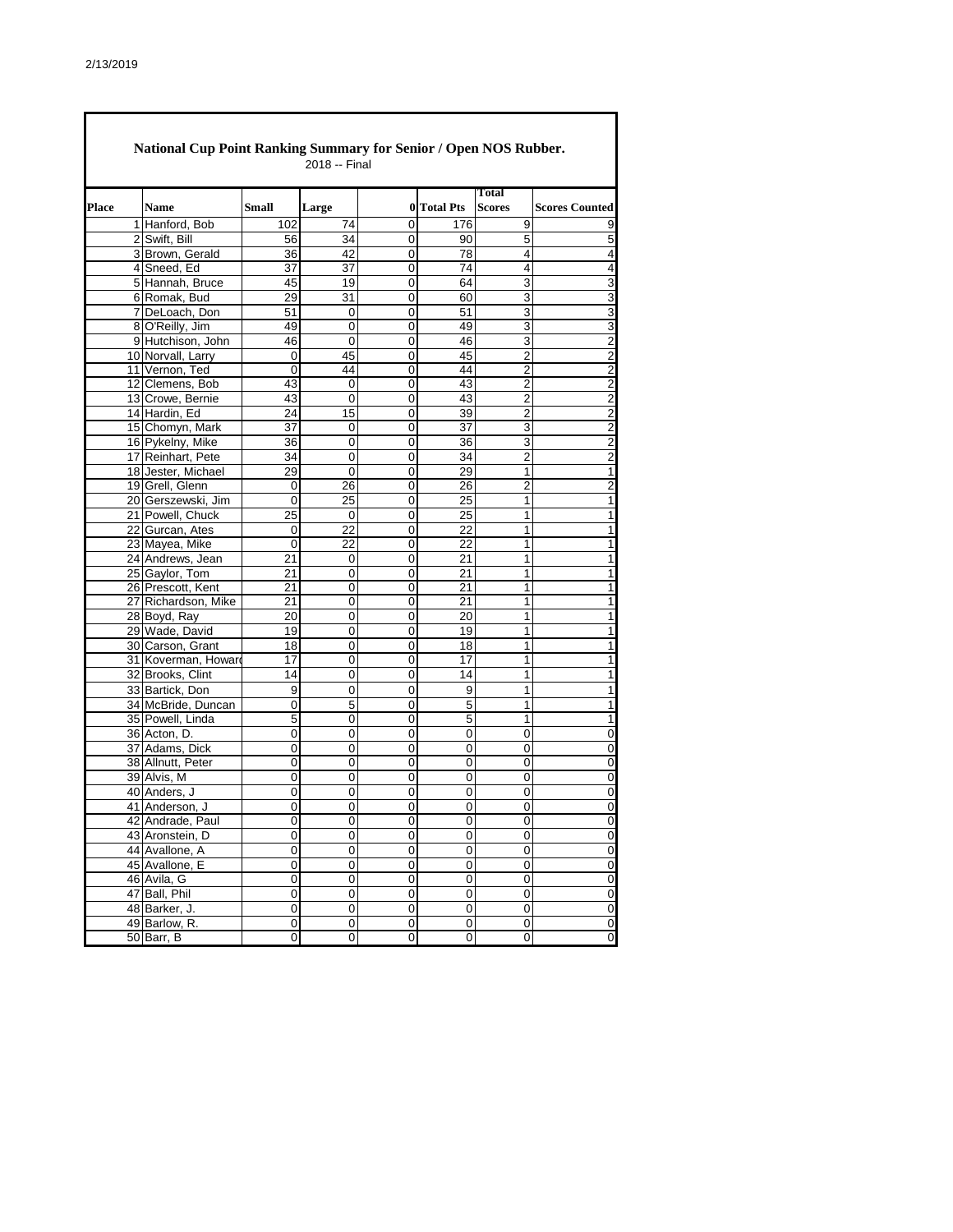|       | National Cup Point Ranking Summary for Senior / Open NOS Rubber.<br>2018 -- Final |                     |              |             |             |                  |                               |                         |  |  |  |
|-------|-----------------------------------------------------------------------------------|---------------------|--------------|-------------|-------------|------------------|-------------------------------|-------------------------|--|--|--|
| Place |                                                                                   | <b>Name</b>         | <b>Small</b> | Large       | 0           | <b>Total Pts</b> | <b>Total</b><br><b>Scores</b> | <b>Scores Counted</b>   |  |  |  |
|       |                                                                                   | 1 Hanford, Bob      | 102          | 74          | 0           | 176              | 9                             | 9                       |  |  |  |
|       |                                                                                   | 2 Swift, Bill       | 56           | 34          | 0           | 90               | 5                             | 5                       |  |  |  |
|       |                                                                                   | 3 Brown, Gerald     | 36           | 42          | 0           | 78               | 4                             | $\overline{\mathbf{4}}$ |  |  |  |
|       |                                                                                   | 4 Sneed, Ed         | 37           | 37          | 0           | 74               | 4                             | 4                       |  |  |  |
|       |                                                                                   | 5 Hannah, Bruce     | 45           | 19          | 0           | 64               | 3                             | 3                       |  |  |  |
|       |                                                                                   | 6 Romak, Bud        | 29           | 31          | 0           | 60               | 3                             | 3                       |  |  |  |
|       |                                                                                   | 7 DeLoach, Don      | 51           | 0           | 0           | 51               | 3                             | $\overline{3}$          |  |  |  |
|       |                                                                                   | 8 O'Reilly, Jim     | 49           | 0           | 0           | 49               | 3                             | $\overline{3}$          |  |  |  |
|       |                                                                                   | 9 Hutchison, John   | 46           | 0           | $\Omega$    | 46               | 3                             |                         |  |  |  |
|       |                                                                                   | 10 Norvall, Larry   | 0            | 45          | 0           | 45               | $\overline{2}$                | $\frac{2}{2}$           |  |  |  |
|       |                                                                                   | 11 Vernon, Ted      | 0            | 44          | 0           | 44               | 2                             | $\overline{2}$          |  |  |  |
|       |                                                                                   | 12 Clemens, Bob     | 43           | 0           | 0           | 43               | 2                             | $\overline{2}$          |  |  |  |
|       |                                                                                   | 13 Crowe, Bernie    | 43           | 0           | 0           | 43               | $\overline{2}$                | $\overline{2}$          |  |  |  |
|       |                                                                                   | 14 Hardin, Ed       | 24           | 15          | 0           | 39               | $\overline{2}$                |                         |  |  |  |
|       |                                                                                   | 15 Chomyn, Mark     | 37           | 0           | 0           | 37               | 3                             | $\frac{2}{2}$           |  |  |  |
|       |                                                                                   | 16 Pykelny, Mike    | 36           | 0           | 0           | 36               | 3                             |                         |  |  |  |
|       |                                                                                   | 17 Reinhart, Pete   | 34           | 0           | 0           | 34               | 2                             | $\frac{2}{2}$           |  |  |  |
|       |                                                                                   | 18 Jester, Michael  | 29           | 0           | 0           | 29               | $\mathbf{1}$                  | $\overline{1}$          |  |  |  |
|       |                                                                                   | 19 Grell, Glenn     | 0            | 26          | 0           | 26               | $\overline{2}$                | $\overline{\mathbf{c}}$ |  |  |  |
|       |                                                                                   | 20 Gerszewski, Jim  | 0            | 25          | 0           | 25               | $\mathbf{1}$                  | $\overline{1}$          |  |  |  |
|       |                                                                                   | 21 Powell, Chuck    | 25           |             | 0           | 25               | 1                             | 1                       |  |  |  |
|       |                                                                                   |                     |              | 0           |             |                  |                               |                         |  |  |  |
|       |                                                                                   | 22 Gurcan, Ates     | 0            | 22          | 0           | 22               | 1                             | 1                       |  |  |  |
|       |                                                                                   | 23 Mayea, Mike      | 0            | 22          | 0           | 22               | 1                             | 1                       |  |  |  |
|       |                                                                                   | 24 Andrews, Jean    | 21           | 0           | 0           | 21               | 1                             | 1                       |  |  |  |
|       |                                                                                   | 25 Gaylor, Tom      | 21           | 0           | 0           | 21               | 1                             | 1                       |  |  |  |
|       |                                                                                   | 26 Prescott, Kent   | 21           | 0           | 0           | 21               | 1                             | 1                       |  |  |  |
|       |                                                                                   | 27 Richardson, Mike | 21           | 0           | 0           | 21               | 1                             | 1                       |  |  |  |
|       |                                                                                   | 28 Boyd, Ray        | 20           | 0           | 0           | 20               | 1                             | 1                       |  |  |  |
|       |                                                                                   | 29 Wade, David      | 19           | 0           | 0           | 19               | 1                             | 1                       |  |  |  |
|       |                                                                                   | 30 Carson, Grant    | 18           | 0           | 0           | 18               | 1                             | 1                       |  |  |  |
|       |                                                                                   | 31 Koverman, Howard | 17           | 0           | 0           | 17               | 1                             | 1                       |  |  |  |
|       |                                                                                   | 32 Brooks, Clint    | 14           | 0           | 0           | 14               | 1                             | 1                       |  |  |  |
|       |                                                                                   | 33 Bartick, Don     | 9            | 0           | 0           | 9                | 1                             | 1                       |  |  |  |
|       |                                                                                   | 34 McBride, Duncan  | 0            | 5           | 0           | 5                | 1                             | 1                       |  |  |  |
|       |                                                                                   | 35 Powell, Linda    | 5            | 0           | 0           | 5                | $\mathbf{1}$                  | $\overline{1}$          |  |  |  |
|       |                                                                                   | 36 Acton, D.        | 0            | 0           | 0           | 0                | 0                             | $\overline{0}$          |  |  |  |
|       |                                                                                   | 37 Adams, Dick      | 0            | 0           | 0           | 0                | 0                             | $\overline{0}$          |  |  |  |
|       |                                                                                   | 38 Allnutt, Peter   | 0            | 0           | 0           | 0                | 0                             | $\overline{0}$          |  |  |  |
|       |                                                                                   | 39 Alvis, M         | 0            | 0           | 0           | 0                | 0                             | $\overline{0}$          |  |  |  |
|       |                                                                                   | 40 Anders, J        | 0            | 0           | 0           | 0                | 0                             | 0                       |  |  |  |
|       |                                                                                   | 41 Anderson, J      | 0            | 0           | 0           | $\Omega$         | 0                             | 0                       |  |  |  |
|       |                                                                                   | 42 Andrade, Paul    | 0            | 0           | 0           | 0                | 0                             | $\overline{\mathbf{0}}$ |  |  |  |
|       |                                                                                   | 43 Aronstein, D     | 0            | 0           | 0           | 0                | 0                             | $\overline{\mathbf{0}}$ |  |  |  |
|       |                                                                                   | 44 Avallone, A      | 0            | 0           | 0           | 0                | 0                             | $\overline{0}$          |  |  |  |
|       |                                                                                   | 45 Avallone, E      | 0            | 0           | 0           | $\pmb{0}$        | 0                             | $\overline{\mathbf{0}}$ |  |  |  |
|       |                                                                                   | 46 Avila, G         | 0            | 0           | $\mathbf 0$ | $\mathbf 0$      | $\mathbf 0$                   | $\pmb{0}$               |  |  |  |
|       |                                                                                   | 47 Ball, Phil       | 0            | 0           | 0           | 0                | 0                             | $\bf 0$                 |  |  |  |
|       |                                                                                   | 48 Barker, J.       | 0            | $\mathsf 0$ | 0           | $\pmb{0}$        | $\pmb{0}$                     | $\overline{\mathbf{0}}$ |  |  |  |
|       |                                                                                   | 49 Barlow, R.       | 0            | 0           | $\pmb{0}$   | $\pmb{0}$        | 0                             | $\mathbf 0$             |  |  |  |
|       |                                                                                   | 50 Barr, B          | 0            | 0           | 0           | 0                | 0                             | 0                       |  |  |  |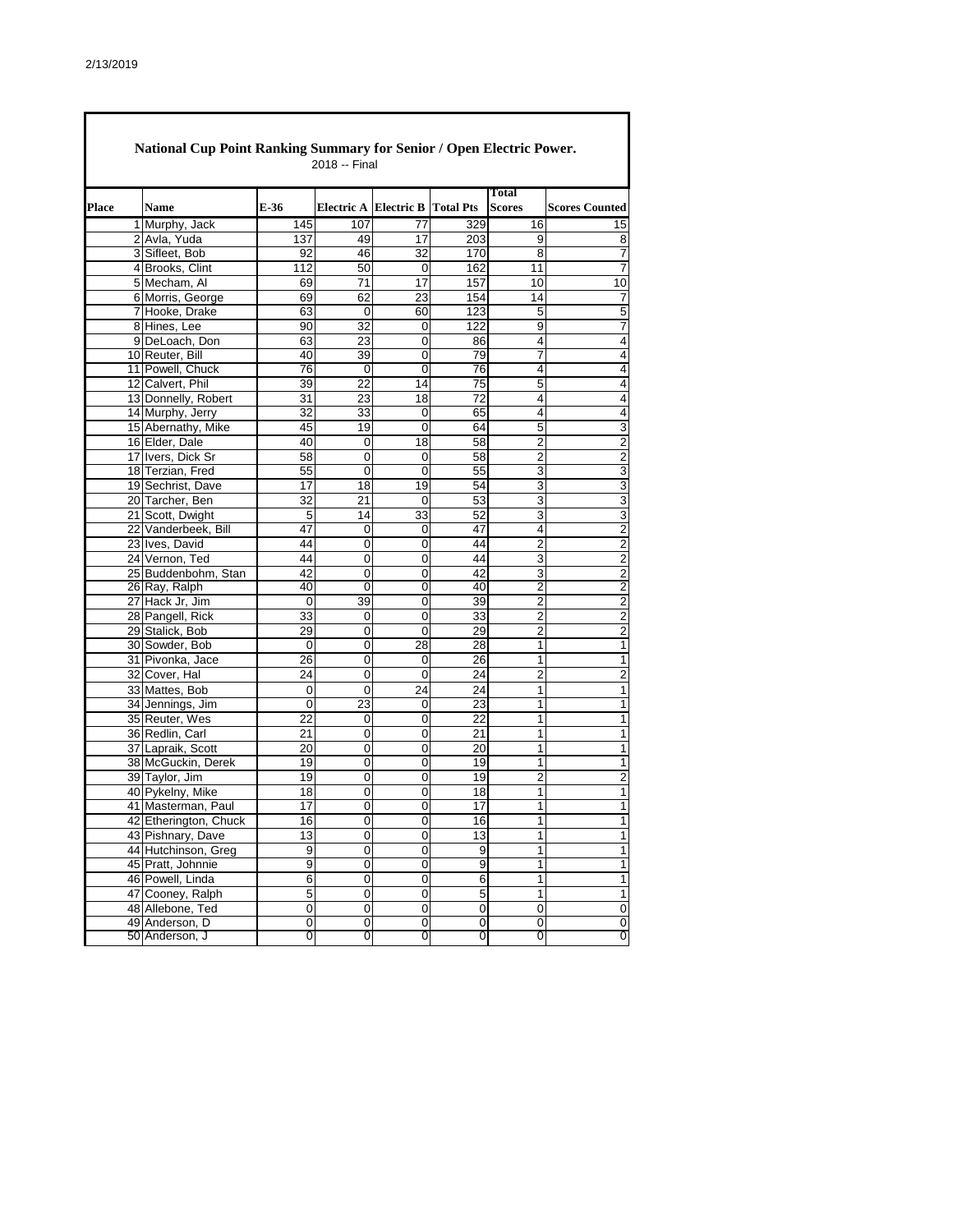|              |                                  |                     |                       |                |                  | <b>Total</b>   |                         |
|--------------|----------------------------------|---------------------|-----------------------|----------------|------------------|----------------|-------------------------|
| <b>Place</b> | <b>Name</b>                      | E-36                | Electric A Electric B |                | <b>Total Pts</b> | <b>Scores</b>  | <b>Scores Counted</b>   |
|              | 1 Murphy, Jack                   | 145                 | 107                   | 77             | 329              | 16             | 15                      |
|              | 2 Avla, Yuda                     | 137                 | 49                    | 17             | 203              | 9              | 8                       |
|              | 3 Sifleet, Bob                   | 92                  | 46                    | 32             | 170              | 8              | 7                       |
|              | 4 Brooks, Clint                  | 112                 | 50                    | 0              | 162              | 11             | 7                       |
|              | 5 Mecham, Al                     | 69                  | 71                    | 17             | 157              | 10             | 10                      |
|              | 6 Morris, George                 | 69                  | 62                    | 23             | 154              | 14             | 7                       |
|              | 7 Hooke, Drake                   | 63                  | 0                     | 60             | 123              | 5              | 5                       |
|              | 8 Hines, Lee                     | 90                  | 32                    | 0              | 122              | 9              | 7                       |
|              | 9 DeLoach, Don                   | 63                  | 23                    | 0              | 86               | 4              | 4                       |
|              | 10 Reuter, Bill                  | 40                  | 39                    | 0              | 79               | 7              | 4                       |
|              | 11 Powell, Chuck                 | 76                  | $\mathbf 0$           | 0              | 76               | 4              | 4                       |
|              | 12 Calvert, Phil                 | 39                  | 22                    | 14             | 75               | 5              | 4                       |
|              | 13 Donnelly, Robert              | 31                  | 23                    | 18             | 72               | 4              | 4                       |
|              | 14 Murphy, Jerry                 | 32                  | 33                    | 0              | 65               | 4              | 4                       |
|              | 15 Abernathy, Mike               | 45                  | 19                    | 0              | 64               | 5              | 3                       |
|              | 16 Elder, Dale                   | 40                  | 0                     | 18             | 58               | $\overline{2}$ | $\overline{c}$          |
|              | 17 Ivers, Dick Sr                | 58                  | 0                     | 0              | 58               | 2              | 2                       |
|              | 18 Terzian, Fred                 | 55                  | 0                     | $\overline{0}$ | 55               | 3              | 3                       |
|              | 19 Sechrist, Dave                | 17                  | 18                    | 19             | 54               | 3              | 3                       |
|              | 20 Tarcher, Ben                  | 32                  | 21                    | $\mathbf 0$    | 53               | 3              | 3                       |
|              | 21 Scott, Dwight                 | 5                   | 14                    | 33             | 52               | 3              | 3                       |
|              | 22 Vanderbeek, Bill              | 47                  | 0                     | 0              | 47               | 4              | $\overline{2}$          |
|              | 23 Ives, David                   | 44                  | 0                     | 0              | 44               | 2              | 2                       |
|              | 24 Vernon, Ted                   | 44                  | 0                     | $\mathbf 0$    | 44               | 3              | $\overline{2}$          |
|              | 25 Buddenbohm, Stan              | 42                  | 0                     | 0              | 42               | 3              | 2                       |
|              | 26 Ray, Ralph                    | 40                  | 0                     | 0              | 40               | $\overline{2}$ | $\overline{c}$          |
|              | 27 Hack Jr, Jim                  | 0                   | 39                    | 0              | 39               | $\overline{c}$ | $\overline{c}$          |
|              | 28 Pangell, Rick                 | 33                  | 0                     | $\mathbf 0$    | 33               | $\overline{c}$ | 2                       |
|              | 29 Stalick, Bob                  | 29                  | 0                     | $\mathbf 0$    | 29               | $\overline{2}$ | 2                       |
|              | 30 Sowder, Bob                   | 0                   | 0                     | 28             | 28               | 1              | 1                       |
|              | 31 Pivonka, Jace                 | 26                  | 0                     | 0              | 26               | 1              | 1                       |
|              | 32 Cover, Hal                    | 24                  | 0                     | 0              | 24               | $\overline{2}$ | $\overline{c}$          |
|              | 33 Mattes, Bob                   | 0                   | 0                     | 24             | 24               | 1              | 1                       |
|              | 34 Jennings, Jim                 | 0                   | 23                    | $\mathbf 0$    | 23               | 1              | 1                       |
|              | 35 Reuter, Wes                   | 22                  | 0                     | 0              | 22               | 1              | 1                       |
|              | 36 Redlin, Carl                  | 21                  | 0                     | 0              | 21               | 1              | 1                       |
|              | 37 Lapraik, Scott                | 20                  | 0                     | 0              | 20               | 1              | 1                       |
|              | 38 McGuckin, Derek               | 19                  | 0                     | 0              | 19               | 1              | 1                       |
|              | 39 Taylor, Jim                   | 19                  | 0                     | 0              | 19               | 2              | $\overline{\mathbf{c}}$ |
|              | 40 Pykelny, Mike                 | 18                  | 0                     | 0              | 18               | 1              | 1                       |
|              | 41 Masterman, Paul               | 17                  | 0                     | 0              | 17               | 1              | 1                       |
|              | 42 Etherington, Chuck            | 16                  | 0                     | 0              | 16               | 1              | 1                       |
|              | 43 Pishnary, Dave                | 13                  | $\mathbf 0$           | $\mathbf 0$    | 13               | 1              | $\mathbf{1}$            |
|              | 44 Hutchinson, Greg              | 9                   | 0                     | 0              | 9                | 1              | $\mathbf{1}$            |
|              | 45 Pratt, Johnnie                | $\overline{9}$      | $\mathbf 0$           | $\mathbf 0$    | $\overline{9}$   | 1              | 1                       |
|              | 46 Powell, Linda                 | 6                   | 0                     | $\mathbf 0$    | 6                | 1              | 1                       |
|              | 47 Cooney, Ralph                 | 5                   | $\overline{0}$        | $\overline{0}$ | $\overline{5}$   | 1              | 1                       |
|              | 48 Allebone, Ted                 | $\overline{0}$      | 0                     | 0              | $\overline{0}$   | 0              | 0                       |
|              | 49 Anderson, D<br>50 Anderson, J | $\mathsf{O}\xspace$ | $\pmb{0}$             | $\pmb{0}$      | $\pmb{0}$        | $\pmb{0}$      | 0                       |
|              |                                  | 0                   | 0                     | 0              | 0                | 0              | 0                       |